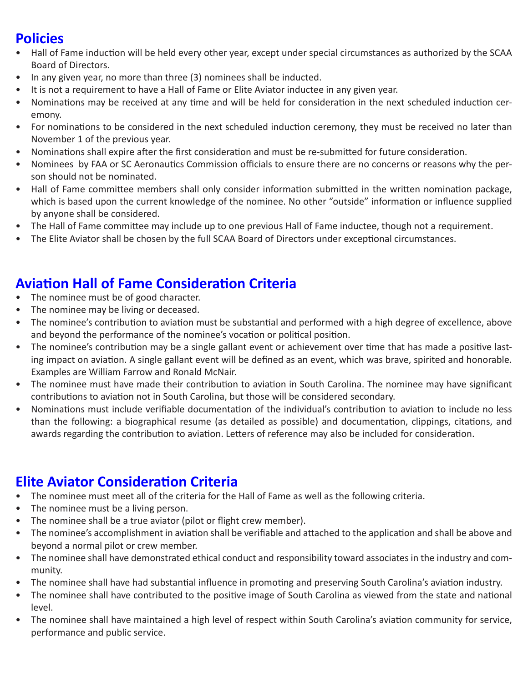## **Policies**

- Hall of Fame induction will be held every other year, except under special circumstances as authorized by the SCAA Board of Directors.
- In any given year, no more than three (3) nominees shall be inducted.
- It is not a requirement to have a Hall of Fame or Elite Aviator inductee in any given year.
- Nominations may be received at any time and will be held for consideration in the next scheduled induction ceremony.
- For nominations to be considered in the next scheduled induction ceremony, they must be received no later than November 1 of the previous year.
- Nominations shall expire after the first consideration and must be re-submitted for future consideration.
- Nominees by FAA or SC Aeronautics Commission officials to ensure there are no concerns or reasons why the person should not be nominated.
- Hall of Fame committee members shall only consider information submitted in the written nomination package, which is based upon the current knowledge of the nominee. No other "outside" information or influence supplied by anyone shall be considered.
- The Hall of Fame committee may include up to one previous Hall of Fame inductee, though not a requirement.
- The Elite Aviator shall be chosen by the full SCAA Board of Directors under exceptional circumstances.

## **Aviation Hall of Fame Consideration Criteria**

- The nominee must be of good character.
- The nominee may be living or deceased.
- The nominee's contribution to aviation must be substantial and performed with a high degree of excellence, above and beyond the performance of the nominee's vocation or political position.
- The nominee's contribution may be a single gallant event or achievement over time that has made a positive lasting impact on aviation. A single gallant event will be defined as an event, which was brave, spirited and honorable. Examples are William Farrow and Ronald McNair.
- The nominee must have made their contribution to aviation in South Carolina. The nominee may have significant contributions to aviation not in South Carolina, but those will be considered secondary.
- Nominations must include verifiable documentation of the individual's contribution to aviation to include no less than the following: a biographical resume (as detailed as possible) and documentation, clippings, citations, and awards regarding the contribution to aviation. Letters of reference may also be included for consideration.

## **Elite Aviator Consideration Criteria**

- The nominee must meet all of the criteria for the Hall of Fame as well as the following criteria.
- The nominee must be a living person.
- The nominee shall be a true aviator (pilot or flight crew member).
- The nominee's accomplishment in aviation shall be verifiable and attached to the application and shall be above and beyond a normal pilot or crew member.
- The nominee shall have demonstrated ethical conduct and responsibility toward associates in the industry and community.
- The nominee shall have had substantial influence in promoting and preserving South Carolina's aviation industry.
- The nominee shall have contributed to the positive image of South Carolina as viewed from the state and national level.
- The nominee shall have maintained a high level of respect within South Carolina's aviation community for service, performance and public service.